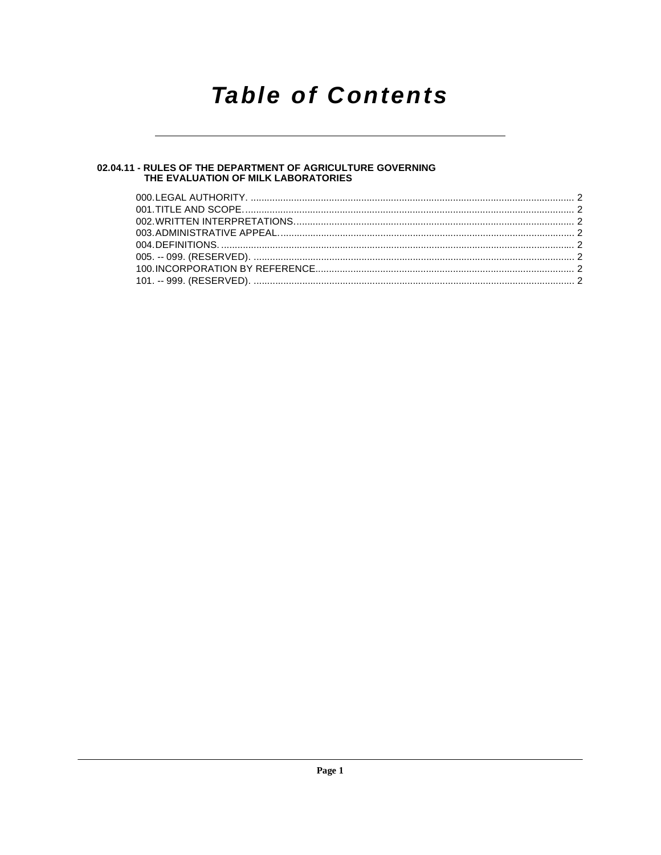# **Table of Contents**

## 02.04.11 - RULES OF THE DEPARTMENT OF AGRICULTURE GOVERNING<br>THE EVALUATION OF MILK LABORATORIES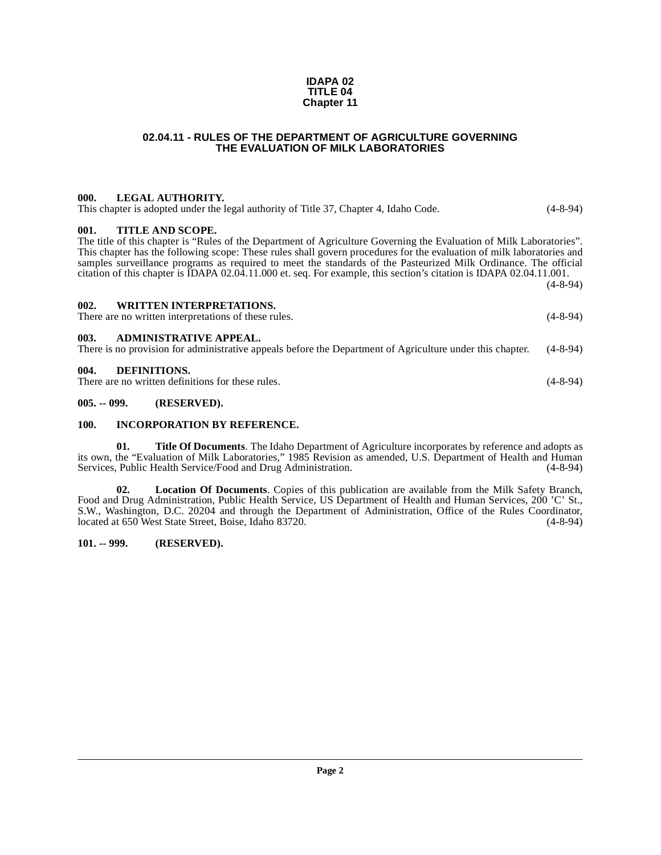#### **IDAPA 02 TITLE 04 Chapter 11**

## **02.04.11 - RULES OF THE DEPARTMENT OF AGRICULTURE GOVERNING THE EVALUATION OF MILK LABORATORIES**

## <span id="page-1-1"></span><span id="page-1-0"></span>**000. LEGAL AUTHORITY.**

This chapter is adopted under the legal authority of Title 37, Chapter 4, Idaho Code. (4-8-94)

## <span id="page-1-2"></span>**001. TITLE AND SCOPE.**

The title of this chapter is "Rules of the Department of Agriculture Governing the Evaluation of Milk Laboratories". This chapter has the following scope: These rules shall govern procedures for the evaluation of milk laboratories and samples surveillance programs as required to meet the standards of the Pasteurized Milk Ordinance. The official citation of this chapter is IDAPA 02.04.11.000 et. seq. For example, this section's citation is IDAPA 02.04.11.001. (4-8-94)

<span id="page-1-3"></span>

| 002. | <b>WRITTEN INTERPRETATIONS.</b>                      |            |
|------|------------------------------------------------------|------------|
|      | There are no written interpretations of these rules. | $(4-8-94)$ |

## <span id="page-1-4"></span>**003. ADMINISTRATIVE APPEAL.** There is no provision for administrative appeals before the Department of Agriculture under this chapter. (4-8-94)

## <span id="page-1-9"></span><span id="page-1-5"></span>**004. DEFINITIONS.**

There are no written definitions for these rules. (4-8-94)

## <span id="page-1-6"></span>**005. -- 099. (RESERVED).**

## <span id="page-1-10"></span><span id="page-1-7"></span>**100. INCORPORATION BY REFERENCE.**

<span id="page-1-12"></span>**01. Title Of Documents**. The Idaho Department of Agriculture incorporates by reference and adopts as its own, the "Evaluation of Milk Laboratories," 1985 Revision as amended, U.S. Department of Health and Human Services, Public Health Service/Food and Drug Administration.

<span id="page-1-11"></span>**02. Location Of Documents**. Copies of this publication are available from the Milk Safety Branch, Food and Drug Administration, Public Health Service, US Department of Health and Human Services, 200 'C' St., S.W., Washington, D.C. 20204 and through the Department of Administration, Office of the Rules Coordinator, located at 650 West State Street. Boise, Idaho 83720. (4-8-94) located at 650 West State Street, Boise, Idaho 83720.

## <span id="page-1-8"></span>**101. -- 999. (RESERVED).**